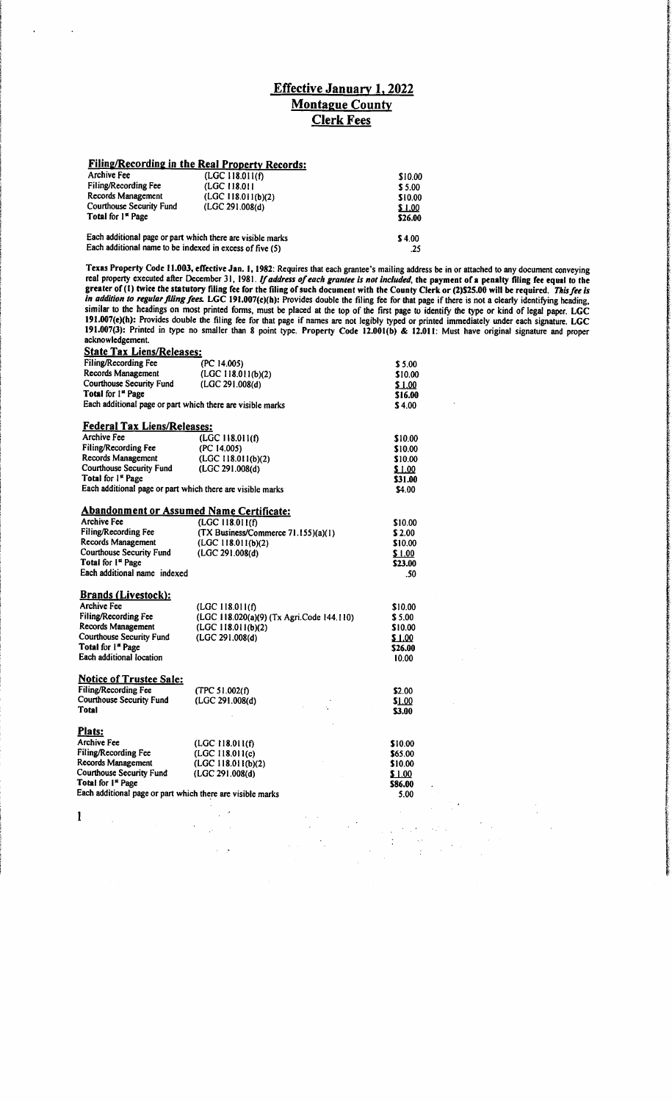## *Effective January 1.2022 Montague County Clerk Fees*

# *Filing/Recording in the Real Property Records:*

| Archive Fee                                                | (LGC 118.011(f)     | \$10.00 |
|------------------------------------------------------------|---------------------|---------|
| <b>Filing/Recording Fee</b>                                | (LGC 118.011)       | \$5.00  |
| Records Management                                         | (LGC 118.011(b)(2)) | \$10.00 |
| Courthouse Security Fund                                   | (LGC 291.008(d)     | \$1.00  |
| Total for 1 <sup>st</sup> Page                             |                     | \$26.00 |
| Each additional page or part which there are visible marks |                     | \$4.00  |

Each additional name to be indexed in excess of five (5) .25

*Texas Property Code 11.003, effective Jan. 1,1982:* Requires that each grantee's mailing address be inorattached toany document conveying real property executed after December 31, 1981. If address of each grantee is not included, the payment of a penalty filing fee equal to the greater of (1) twice the statutory filing fee for the filing of such document with the County Clerk or (2)\$25.00 will be required. This fee is *in addition to regular filing fees.* LGC 191.007(c)(h): Provides double the filing fee for that page if there is not a clearly identifying heading, similar to *the* headings on most printed forms, must be placed at the top of the first page to identify the type or kind of legal paper. *LGC 191.007(e)(h):* Provides double the filing fee for that page if names are not legibly typed or printed immediately under each signature. *LGC 191.007(3):* Printed in type no smaller than 8 point type. *Property Code 12.001(b) & 12.011:* Must have original signature and proper acknowledgement.

| <b>State Tax Liens/Releases:</b>                           |                                           |               |
|------------------------------------------------------------|-------------------------------------------|---------------|
| Filing/Recording Fee                                       | (PC 14.005)                               | \$5.00        |
| Records Management                                         | (LGC 118.011(b)(2))                       | \$10.00       |
| <b>Courthouse Security Fund</b>                            | (LGC 291.008(d))                          | <u>\$1.00</u> |
| Total for 1st Page                                         |                                           | \$16.00       |
| Each additional page or part which there are visible marks |                                           | \$4.00        |
| <b>Federal Tax Liens/Releases:</b>                         |                                           |               |
| <b>Archive Fee</b>                                         | (LGC 118.011(f)                           | \$10.00       |
| Filing/Recording Fee                                       | (PC 14.005)                               | \$10.00       |
| Records Management                                         | (LGC 118.011(b)(2)                        | \$10.00       |
| <b>Courthouse Security Fund</b>                            | (LGC 291.008(d))                          | \$1.00        |
| Total for 1st Page                                         |                                           | \$31.00       |
| Each additional page or part which there are visible marks |                                           | \$4.00        |
| <b>Abandonment or Assumed Name Certificate:</b>            |                                           |               |
| <b>Archive Fee</b>                                         | (LGC 118.011(f)                           | \$10.00       |
| Filing/Recording Fee                                       | (TX Business/Commerce 71.155)(a)(1)       | \$2.00        |
| Records Management                                         | (LGC 118.011(b)(2)                        | \$10.00       |
| <b>Courthouse Security Fund</b>                            | (LGC 291.008(d)                           | \$1.00        |
| Total for 1st Page                                         |                                           | \$23.00       |
| Each additional name indexed                               |                                           | .50           |
|                                                            |                                           |               |
| <b>Brands (Livestock):</b>                                 |                                           |               |
| <b>Archive Fee</b>                                         | (LGC 118.011(f)                           | \$10.00       |
| Filing/Recording Fee                                       | (LGC 118.020(a)(9) (Tx Agri.Code 144.110) | \$5.00        |
| Records Management                                         | (LGC 118.011(b)(2)                        | \$10.00       |
| <b>Courthouse Security Fund</b>                            | (LGC 291.008(d)                           | \$1.00        |
| Total for 1st Page                                         |                                           | \$26.00       |
| Each additional location                                   |                                           | 10.00         |
|                                                            |                                           |               |
| <b>Notice of Trustee Sale:</b>                             |                                           |               |
| Filing/Recording Fee                                       | (TPC 51.002(f)                            | \$2.00        |
| <b>Courthouse Security Fund</b>                            | (LGC 291.008(d)                           | \$1.00        |
| <b>Total</b>                                               |                                           | \$3.00        |
| Plats:                                                     |                                           |               |
|                                                            |                                           |               |
| Archive Fee                                                | (LGC.118.011(f)                           | \$10.00       |
| Filing/Recording Fee                                       | (LGC 118.011(c)                           | \$65.00       |
| Records Management                                         | (LGC 118.011(b)(2)                        | \$10.00       |
| <b>Courthouse Security Fund</b><br>Total for 1st Page      | (LGC 291.008(d))                          | \$1.00        |
|                                                            |                                           | \$86.00       |
| Each additional page or part which there are visible marks |                                           | 5.00          |
|                                                            |                                           |               |
| 1                                                          |                                           |               |
|                                                            |                                           |               |
|                                                            |                                           |               |
|                                                            |                                           |               |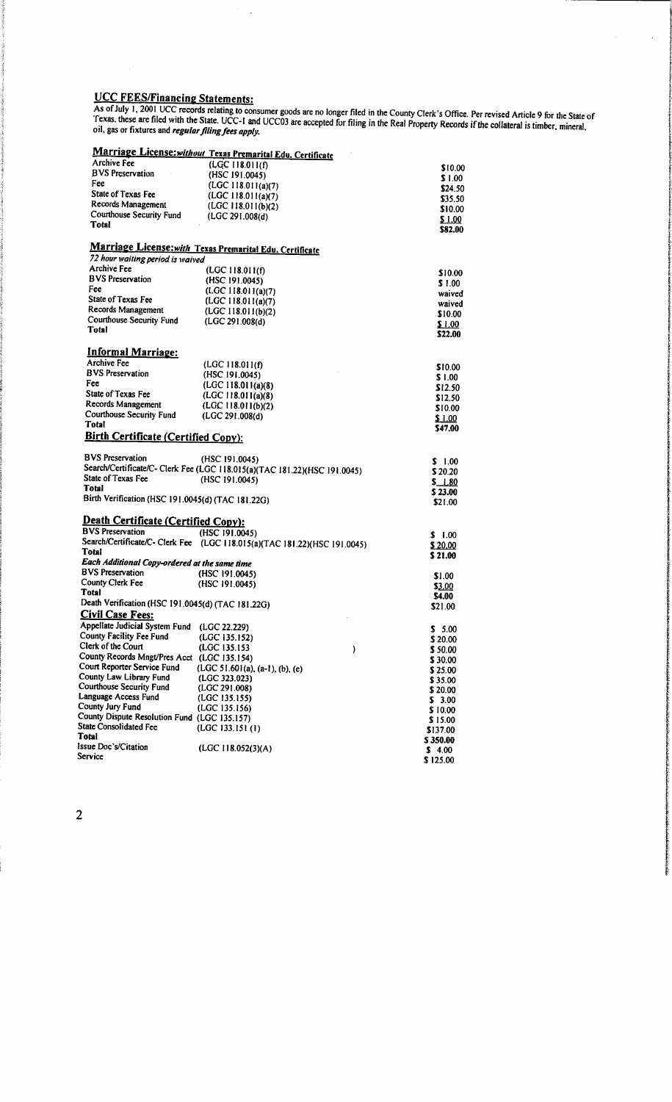#### *UCC FEES/Financing Statements:*

As of July 1, 2001 UCC records relating to consumer goods are no longer filed in the County Clerk's Office. Per revised Article 9 for the State of *oil, gas or fixtures and regularfilingfees apply.*

 $\hat{\boldsymbol{\beta}}$ 

## *Marriage License:without Texas Premarital Edu. Certificate*

|                                                   | <b>Marriage License: without Texas Premarital Edu. Certificate</b>        |                   |
|---------------------------------------------------|---------------------------------------------------------------------------|-------------------|
| Archive Fee                                       | (LGC 118.011(f)                                                           | \$10.00           |
| <b>BVS</b> Preservation                           | (HSC 191.0045)                                                            | \$1.00            |
| Fee                                               | (LGC 118.011(a)(7))                                                       | \$24.50           |
| State of Texas Fee                                | (LGC 118.011(a)(7))                                                       | \$35.50           |
| Records Management                                | (LGC 118.011(b)(2)                                                        | \$10.00           |
| Courthouse Security Fund                          | (LGC 291.008(d))                                                          | \$1.00            |
| <b>Total</b>                                      |                                                                           | \$82.00           |
|                                                   | Marriage License: with Texas Premarital Edu. Certificate                  |                   |
| 72 hour waiting period is waived                  |                                                                           |                   |
| <b>Archive Fee</b>                                | (LGC 118.011(f)                                                           |                   |
| <b>BVS</b> Preservation                           | (HSC 191.0045)                                                            | \$10.00           |
| Fee                                               | (LGC 118.011(a)(7))                                                       | \$1.00            |
| State of Texas Fee                                | (LGC 118.011(a)(7))                                                       | waived            |
| Records Management                                | (LGC 118.011(b)(2)                                                        | waived            |
| <b>Courthouse Security Fund</b>                   | (LGC 291.008(d))                                                          | \$10.00           |
| Total                                             |                                                                           | \$1.00<br>\$22.00 |
|                                                   |                                                                           |                   |
| <b>Informal Marriage:</b><br><b>Archive Fee</b>   |                                                                           |                   |
| <b>BVS Preservation</b>                           | (LGC 118.011(f)                                                           | \$10.00           |
| Fee                                               | (HSC 191.0045)                                                            | \$1.00            |
|                                                   | (LGC 118.011(a)(8)                                                        | \$12.50           |
| State of Texas Fee<br>Records Management          | (LGC 118.011(a)(8)                                                        | \$12.50           |
| <b>Courthouse Security Fund</b>                   | (LGC 118.011(b)(2)                                                        | \$10.00           |
| <b>Total</b>                                      | (LGC 291.008(d)                                                           | \$1.00            |
| <b>Birth Certificate (Certified Copy):</b>        |                                                                           | \$47.00           |
|                                                   |                                                                           |                   |
| <b>BVS Preservation</b>                           | (HSC 191.0045)                                                            | \$ 1.00           |
|                                                   | Search/Certificate/C- Clerk Fee (LGC 118.015(a)(TAC 181.22)(HSC 191.0045) | \$20.20           |
| State of Texas Fee                                | (HSC 191.0045)                                                            | \$1.80            |
| Total                                             |                                                                           | \$23.00           |
| Birth Verification (HSC 191.0045(d) (TAC 181.22G) |                                                                           | \$21.00           |
| <b>Death Certificate (Certified Copy):</b>        |                                                                           |                   |
| <b>BVS</b> Preservation                           | (HSC 191.0045)                                                            |                   |
|                                                   | Search/Certificate/C- Clerk Fee (LGC 118.015(a)(TAC 181.22)(HSC 191.0045) | \$1.00            |
| Total                                             |                                                                           | \$20.00           |
| Each Additional Copy-ordered at the same time     |                                                                           | \$21.00           |
| <b>BVS</b> Preservation                           | (HSC 191.0045)                                                            | \$1.00            |
| <b>County Clerk Fee</b>                           | (HSC 191.0045)                                                            | \$3.00            |
| <b>Total</b>                                      |                                                                           | \$4.00            |
| Death Verification (HSC 191.0045(d) (TAC 181.22G) |                                                                           | \$21.00           |
| <b>Civil Case Fees:</b>                           |                                                                           |                   |
| Appellate Judicial System Fund (LGC 22.229)       |                                                                           | \$5.00            |
| County Facility Fee Fund (LGC 135.152)            |                                                                           | \$20.00           |
| Clerk of the Court                                | (LGC 135.153)<br>)                                                        | \$50.00           |
| County Records Mngt/Pres Acct (LGC 135.154)       |                                                                           | \$30.00           |
| Court Reporter Service Fund                       | (LGC 51.601(a), (a-1), (b), (e)                                           | \$25.00           |
| County Law Library Fund                           | (LGC 323.023)                                                             | \$35.00           |
| <b>Courthouse Security Fund</b>                   | (LGC 291.008)                                                             | \$20.00           |
| Language Access Fund                              | (LGC 135.155)                                                             | \$3.00            |
| County Jury Fund                                  | (LGC 135.156)                                                             | \$10.00           |
| County Dispute Resolution Fund (LGC 135.157)      |                                                                           | \$15.00           |
| <b>State Consolidated Fee</b>                     | (LGC 133.151(1)                                                           | \$137.00          |
| Total                                             |                                                                           | \$350.00          |
| Issue Doc's/Citation                              | (LGC 118.052(3)(A)                                                        | \$4.00            |
| Service                                           |                                                                           | \$125.00          |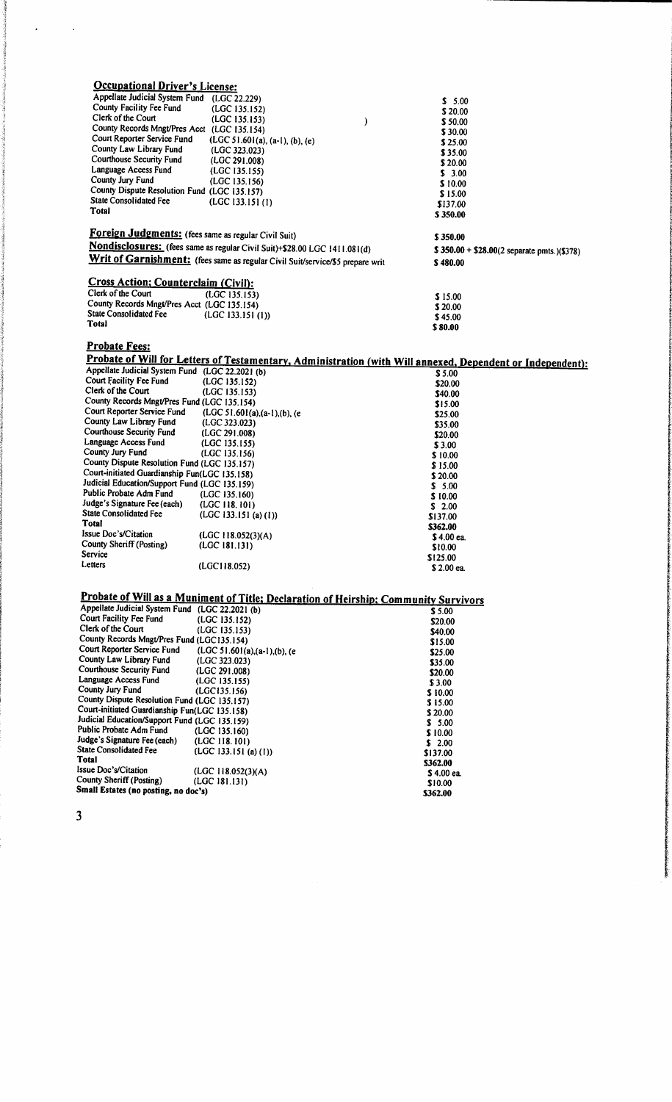| <b>Occupational Driver's License:</b>                                                         |                                                                                                            |                                                    |  |
|-----------------------------------------------------------------------------------------------|------------------------------------------------------------------------------------------------------------|----------------------------------------------------|--|
| Appellate Judicial System Fund (LGC 22.229)                                                   |                                                                                                            | \$5.00                                             |  |
| County Facility Fee Fund                                                                      | (LGC 135.152)                                                                                              | \$20.00                                            |  |
| Clerk of the Court                                                                            | (LGC 135.153)<br>)                                                                                         | \$50.00                                            |  |
| County Records Mngt/Pres Acct (LGC 135.154)                                                   |                                                                                                            | \$30.00                                            |  |
| Court Reporter Service Fund                                                                   | $(LGC 51.601(a), (a-1), (b), (e)$                                                                          | \$25.00                                            |  |
| County Law Library Fund<br>Courthouse Security Fund                                           | (LGC 323.023)                                                                                              | \$35.00                                            |  |
| Language Access Fund                                                                          | (LGC 291.008)                                                                                              | \$20.00                                            |  |
| County Jury Fund                                                                              | (LGC 135.155)<br>(LGC 135.156)                                                                             | \$3.00                                             |  |
| County Dispute Resolution Fund (LGC 135.157)                                                  |                                                                                                            | \$10.00                                            |  |
| <b>State Consolidated Fee</b>                                                                 | (LGC 133.151(1))                                                                                           | \$15.00                                            |  |
| Total                                                                                         |                                                                                                            | \$137.00<br>\$350.00                               |  |
|                                                                                               |                                                                                                            |                                                    |  |
| Foreign Judgments: (fees same as regular Civil Suit)                                          |                                                                                                            | \$350.00                                           |  |
|                                                                                               | Nondisclosures: (fees same as regular Civil Suit)+\$28.00 LGC 1411.081(d)                                  | $$350.00 + $28.00(2 \text{ separate puts.})($378)$ |  |
|                                                                                               | Writ of Garnishment: (fees same as regular Civil Suit/service/\$5 prepare writ                             |                                                    |  |
|                                                                                               |                                                                                                            | \$480.00                                           |  |
| <b>Cross Action; Counterclaim (Civil):</b>                                                    |                                                                                                            |                                                    |  |
| Clerk of the Court                                                                            | (LGC 135.153)                                                                                              |                                                    |  |
| County Records Mngt/Pres Acct (LGC 135.154)                                                   |                                                                                                            | \$15.00<br>\$20.00                                 |  |
| <b>State Consolidated Fee</b>                                                                 | (LGC 133.151 (1))                                                                                          | \$45.00                                            |  |
| Total                                                                                         |                                                                                                            | \$80.00                                            |  |
|                                                                                               |                                                                                                            |                                                    |  |
| <b>Probate Fees:</b>                                                                          |                                                                                                            |                                                    |  |
|                                                                                               | Probate of Will for Letters of Testamentary, Administration (with Will annexed, Dependent or Independent): |                                                    |  |
| Appellate Judicial System Fund (LGC 22.2021 (b)                                               |                                                                                                            | \$5.00                                             |  |
| Court Facility Fee Fund                                                                       | (LGC 135.152)                                                                                              | \$20.00                                            |  |
| Clerk of the Court                                                                            | (LGC 135.153)                                                                                              | \$40.00                                            |  |
| County Records Mngt/Pres Fund (LGC 135.154)                                                   |                                                                                                            | \$15.00                                            |  |
| Court Reporter Service Fund                                                                   | (LGC 51.601(a),(a-1),(b), (e                                                                               | \$25.00                                            |  |
| County Law Library Fund                                                                       | (LGC 323.023)                                                                                              | \$35.00                                            |  |
| Courthouse Security Fund                                                                      | (LGC 291.008)                                                                                              | \$20.00                                            |  |
| Language Access Fund<br>County Jury Fund                                                      | (LGC 135.155)                                                                                              | \$3.00                                             |  |
| County Dispute Resolution Fund (LGC 135.157)                                                  | (LGC 135.156)                                                                                              | \$10.00                                            |  |
| Court-initiated Guardianship Fun(LGC 135.158)                                                 |                                                                                                            | \$15.00                                            |  |
| Judicial Education/Support Fund (LGC 135.159)                                                 |                                                                                                            | \$20.00                                            |  |
| Public Probate Adm Fund                                                                       | (LGC 135.160)                                                                                              | \$5.00<br>\$10.00                                  |  |
| Judge's Signature Fee (each)                                                                  | (LGC 118.101)                                                                                              | \$2.00                                             |  |
| <b>State Consolidated Fee</b>                                                                 | (LGC 133.151 (a) (1))                                                                                      | \$137.00                                           |  |
| Total                                                                                         |                                                                                                            | \$362.00                                           |  |
| Issue Doc's/Citation                                                                          | (LGC 118.052(3)(A)                                                                                         | S 4.00 ea.                                         |  |
| County Sheriff (Posting)                                                                      | (LGC 181.131)                                                                                              | \$10.00                                            |  |
| Service                                                                                       |                                                                                                            | \$125.00                                           |  |
| Letters                                                                                       | (LGC118.052)                                                                                               | \$2.00 ea.                                         |  |
|                                                                                               |                                                                                                            |                                                    |  |
|                                                                                               |                                                                                                            |                                                    |  |
| Appellate Judicial System Fund (LGC 22.2021 (b)                                               | Probate of Will as a Muniment of Title; Declaration of Heirship; Community Survivors                       |                                                    |  |
| Court Facility Fee Fund                                                                       | (LGC 135.152)                                                                                              | \$5.00                                             |  |
| Clerk of the Court                                                                            | (LGC 135.153)                                                                                              | \$20.00                                            |  |
| County Records Mngt/Pres Fund (LGC135.154)                                                    |                                                                                                            | \$40.00<br>\$15.00                                 |  |
| Court Reporter Service Fund                                                                   | $(LGC 51.601(a),(a-1),(b),(e)$                                                                             | \$25.00                                            |  |
| County Law Library Fund                                                                       | (LGC 323.023)                                                                                              | \$35.00                                            |  |
| <b>Courthouse Security Fund</b>                                                               | (LGC 291.008)                                                                                              | \$20.00                                            |  |
| Language Access Fund                                                                          | (LGC 135.155)                                                                                              | \$3.00                                             |  |
| County Jury Fund                                                                              | (LGC135.156)                                                                                               | \$10.00                                            |  |
| County Dispute Resolution Fund (LGC 135.157)<br>Court-initiated Guardianship Fun(LGC 135.158) |                                                                                                            | \$15.00                                            |  |
| Judicial Education/Support Fund (LGC 135.159)                                                 |                                                                                                            | \$20.00                                            |  |
| Public Probate Adm Fund                                                                       | (LGC 135.160)                                                                                              | \$ 5.00                                            |  |
| Judge's Signature Fee (each)                                                                  | (LOG 118.101)                                                                                              | \$10.00                                            |  |
| <b>State Consolidated Fee</b>                                                                 | (LGC 133.151 (a) (1))                                                                                      | \$2.00<br>\$137.00                                 |  |
| <b>Total</b>                                                                                  |                                                                                                            | \$362.00                                           |  |
| Issue Doc's/Citation                                                                          | (LGC 118.052(3)(A)                                                                                         | \$4.00 ea.                                         |  |
| County Sheriff (Posting)                                                                      | (LGC 181.131)                                                                                              | \$10.00                                            |  |
| Small Estates (no posting, no doc's)                                                          |                                                                                                            | \$362.00                                           |  |
|                                                                                               |                                                                                                            |                                                    |  |
| 3                                                                                             |                                                                                                            |                                                    |  |

 $\ddot{\phantom{0}}$ 

l,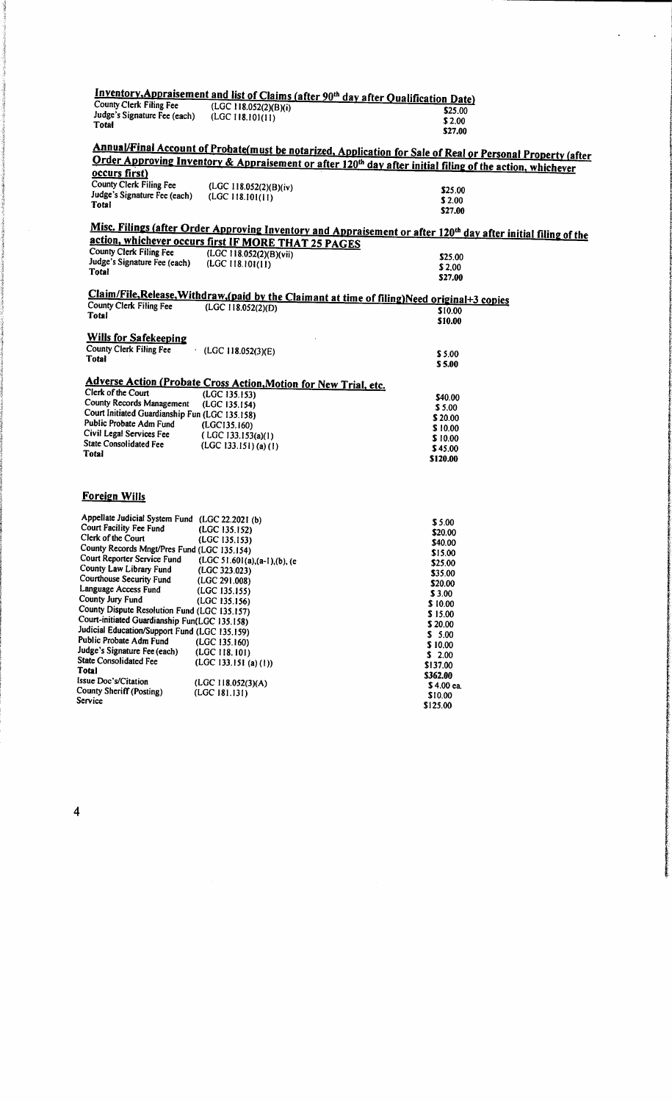|                                                 |                                                                         | Inventory, Appraisement and list of Claims (after 90 <sup>th</sup> day after Qualification Date)                           |
|-------------------------------------------------|-------------------------------------------------------------------------|----------------------------------------------------------------------------------------------------------------------------|
| County Clerk Filing Fee                         | (LGC 118.052(2)(B)(i)                                                   | \$25.00                                                                                                                    |
| Judge's Signature Fee (each)                    | (LGC 118.101(11))                                                       | \$2.00                                                                                                                     |
| <b>Total</b>                                    |                                                                         | \$27.00                                                                                                                    |
|                                                 |                                                                         |                                                                                                                            |
|                                                 |                                                                         | Annual/Final Account of Probate(must be notarized, Application for Sale of Real or Personal Property (after                |
|                                                 |                                                                         | Order Approving Inventory & Appraisement or after 120 <sup>th</sup> day after initial filing of the action, whichever      |
| occurs first)                                   |                                                                         |                                                                                                                            |
| County Clerk Filing Fee                         | (LGC 118.052(2)(B)(iv)                                                  |                                                                                                                            |
| Judge's Signature Fee (each)                    | (LGC 118.101(11))                                                       | \$25.00                                                                                                                    |
| <b>Total</b>                                    |                                                                         | \$2.00                                                                                                                     |
|                                                 |                                                                         | \$27.00                                                                                                                    |
|                                                 |                                                                         | Misc. Filings (after Order Approving Inventory and Appraisement or after 120 <sup>th</sup> day after initial filing of the |
|                                                 | action, whichever occurs first IF MORE THAT 25 PAGES                    |                                                                                                                            |
| <b>County Clerk Filing Fee</b>                  | (LGC 118.052(2)(B)(vii)                                                 |                                                                                                                            |
| Judge's Signature Fee (each)                    | (LGC 118.101(11))                                                       | \$25.00                                                                                                                    |
| Total                                           |                                                                         | \$2.00                                                                                                                     |
|                                                 |                                                                         | \$27.00                                                                                                                    |
|                                                 |                                                                         | Claim/File, Release, Withdraw, (paid by the Claimant at time of filing) Need original +3 copies                            |
| County Clerk Filing Fee                         | (LOGC 118.052(2)(D))                                                    | \$10.00                                                                                                                    |
| Total                                           |                                                                         | \$10.00                                                                                                                    |
|                                                 |                                                                         |                                                                                                                            |
| <b>Wills for Safekeeping</b>                    |                                                                         |                                                                                                                            |
| <b>County Clerk Filing Fee</b>                  | (LGC118.052(3)(E))                                                      | \$5.00                                                                                                                     |
| Total                                           |                                                                         | \$5.00                                                                                                                     |
|                                                 |                                                                         |                                                                                                                            |
|                                                 | <b>Adverse Action (Probate Cross Action, Motion for New Trial, etc.</b> |                                                                                                                            |
| Clerk of the Court                              | (LGC 135.153)                                                           | \$40.00                                                                                                                    |
| County Records Management                       | (LGC 135.154)                                                           | \$5.00                                                                                                                     |
| Court Initiated Guardianship Fun (LGC 135.158)  |                                                                         | \$20.00                                                                                                                    |
| Public Probate Adm Fund                         | (LGC135.160)                                                            | \$10.00                                                                                                                    |
| Civil Legal Services Fee                        | $($ LGC 133.153(a)(1)                                                   | \$10.00                                                                                                                    |
| <b>State Consolidated Fee</b>                   | $(LGC 133.151)$ (a) (1)                                                 | \$45.00                                                                                                                    |
| Total                                           |                                                                         | \$120.00                                                                                                                   |
|                                                 |                                                                         |                                                                                                                            |
|                                                 |                                                                         |                                                                                                                            |
| <b>Foreign Wills</b>                            |                                                                         |                                                                                                                            |
| Appellate Judicial System Fund (LGC 22.2021 (b) |                                                                         |                                                                                                                            |
| Court Facility Fee Fund                         | (LGC 135.152)                                                           | \$5.00<br>\$20.00                                                                                                          |
| Clerk of the Court                              | (LGC 135.153)                                                           | \$40.00                                                                                                                    |
| County Records Mngt/Pres Fund (LGC 135.154)     |                                                                         | \$15.00                                                                                                                    |

| Clerk of the Court                            | (LGC 135.153)                | \$40.00    |
|-----------------------------------------------|------------------------------|------------|
| County Records Mngt/Pres Fund (LGC 135.154)   |                              | \$15.00    |
| Court Reporter Service Fund                   | (LGC 51.601(a),(a-1),(b), (e | \$25.00    |
| County Law Library Fund                       | (LGC 323.023)                | \$35.00    |
| Courthouse Security Fund                      | (LGC 291.008)                |            |
| Language Access Fund                          | (LGC 135.155)                | \$20.00    |
| County Jury Fund                              | (LGC 135.156)                | \$3.00     |
| County Dispute Resolution Fund (LGC 135.157)  |                              | \$10.00    |
|                                               |                              | \$15.00    |
| Court-initiated Guardianship Fun(LGC 135.158) |                              | \$20.00    |
| Judicial Education/Support Fund (LGC 135.159) |                              | \$ 5.00    |
| Public Probate Adm Fund                       | (LGC 135.160)                | \$10.00    |
| Judge's Signature Fee (each)                  | (LGC 118.101)                | \$2.00     |
| <b>State Consolidated Fee</b>                 | (LGC 133.151 (a) (1))        | \$137.00   |
| Total                                         |                              | \$362.00   |
| Issue Doc's/Citation                          | (LGC 118.052(3)(A)           |            |
| County Sheriff (Posting)                      | (LGC 181.131)                | \$4.00 ea. |
| Service                                       |                              | \$10.00    |
|                                               |                              | \$125.00   |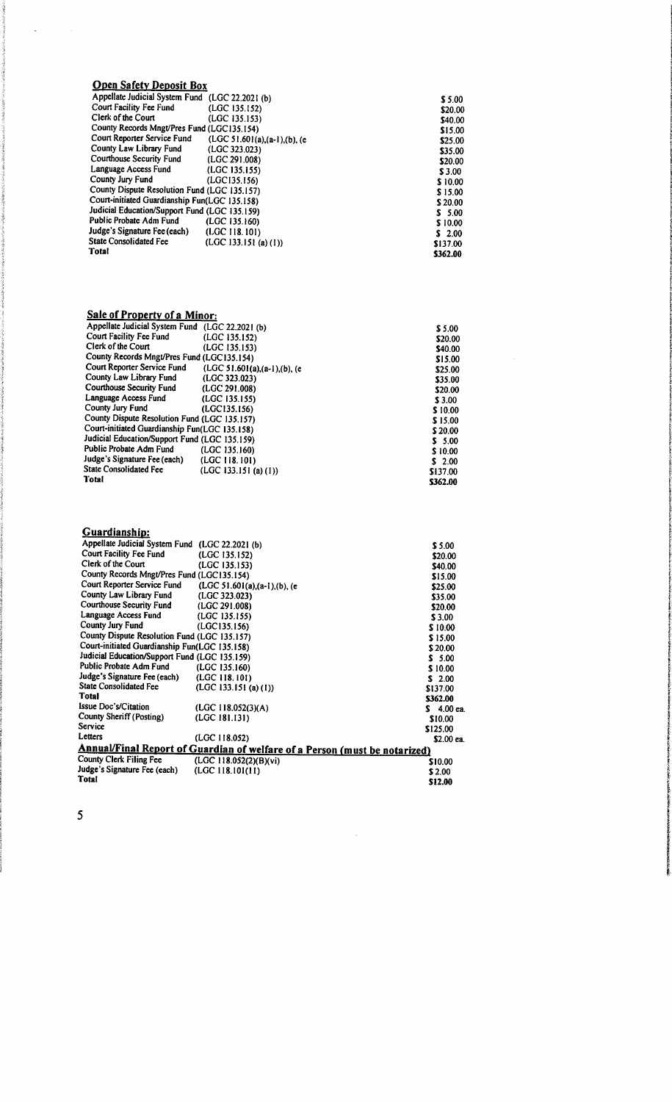## *Open Safety Deposit Box*

 $\ddot{\phantom{a}}$ 

 $\hat{\mathcal{A}}$ 

| Appellate Judicial System Fund (LGC 22.2021 (b) |                                | \$5.00   |
|-------------------------------------------------|--------------------------------|----------|
| Court Facility Fee Fund                         | (LGC 135.152)                  | \$20.00  |
| Clerk of the Court                              | (LGC 135.153)                  | \$40.00  |
| County Records Mngt/Pres Fund (LGC135.154)      |                                | \$15.00  |
| Court Reporter Service Fund                     | $(LGC 51.601(a),(a-1),(b),(e)$ | \$25.00  |
| County Law Library Fund                         | (LGC 323.023)                  | \$35.00  |
| <b>Courthouse Security Fund</b>                 | (LGC 291.008)                  | \$20.00  |
| Language Access Fund                            | (LGC 135.155)                  | \$3.00   |
| County Jury Fund                                | (LGC135.156)                   | \$10.00  |
| County Dispute Resolution Fund (LGC 135.157)    |                                | \$15.00  |
| Court-initiated Guardianship Fun(LGC 135.158)   |                                | \$20.00  |
| Judicial Education/Support Fund (LGC 135.159)   |                                | \$5.00   |
| Public Probate Adm Fund                         | (LGC 135.160)                  | \$10.00  |
| Judge's Signature Fee (each)                    | (LOGC 118.101)                 | \$2.00   |
| <b>State Consolidated Fee</b>                   | (LGC 133.151 (a) (1))          | \$137.00 |
| Total                                           |                                | \$362.00 |

## *Sale of Property of a Minor:*

| Appellate Judicial System Fund (LGC 22.2021 (b) |                                | \$5.00   |
|-------------------------------------------------|--------------------------------|----------|
| Court Facility Fee Fund                         | (LGC 135.152)                  | \$20.00  |
| Clerk of the Court                              | (LGC 135.153)                  | \$40.00  |
| County Records Mngt/Pres Fund (LGC135.154)      |                                | \$15.00  |
| Court Reporter Service Fund                     | $(LGC 51.601(a),(a-1),(b),(e)$ | \$25.00  |
| County Law Library Fund                         | (LGC 323.023)                  | \$35.00  |
| Courthouse Security Fund                        | (LGC 291.008)                  | \$20.00  |
| Language Access Fund                            | (LGC 135.155)                  | \$3.00   |
| County Jury Fund                                | (LGC135.156)                   | \$10.00  |
| County Dispute Resolution Fund (LGC 135.157)    |                                | \$15.00  |
| Court-initiated Guardianship Fun(LGC 135.158)   |                                | \$20.00  |
| Judicial Education/Support Fund (LGC 135.159)   |                                | \$5.00   |
| Public Probate Adm Fund                         | (LGC 135.160)                  | \$10.00  |
| Judge's Signature Fee (each)                    | (LGC 118.101)                  | \$2.00   |
| <b>State Consolidated Fee</b>                   | (LGC 133.151 (a) (1))          | \$137.00 |
| Total                                           |                                | \$362.00 |

 $\hat{\mathcal{A}}$ 

## *Guardianship:*

| Appellate Judicial System Fund (LGC 22.2021 (b) |                                                                                   | \$5.00      |
|-------------------------------------------------|-----------------------------------------------------------------------------------|-------------|
| Court Facility Fee Fund                         | (LGC 135.152)                                                                     | \$20.00     |
| Clerk of the Court                              | (LGC 135.153)                                                                     | \$40.00     |
| County Records Mngt/Pres Fund (LGC135.154)      |                                                                                   | \$15.00     |
| Court Reporter Service Fund                     | (LGC 51.601(a),(a-1),(b), (e                                                      | \$25.00     |
| County Law Library Fund                         | (LGC 323.023)                                                                     | \$35.00     |
| Courthouse Security Fund                        | (LGC 291.008)                                                                     | \$20.00     |
| Language Access Fund                            | (LGC 135.155)                                                                     | \$3.00      |
| County Jury Fund                                | (LGC135.156)                                                                      | \$10.00     |
| County Dispute Resolution Fund (LGC 135.157)    |                                                                                   | \$15.00     |
| Court-initiated Guardianship Fun(LGC 135.158)   |                                                                                   | \$20.00     |
| Judicial Education/Support Fund (LGC 135.159)   |                                                                                   | \$5.00      |
| Public Probate Adm Fund                         | (LGC 135.160)                                                                     | \$10.00     |
| Judge's Signature Fee (each)                    | (LGC 118.101)                                                                     | \$2.00      |
| <b>State Consolidated Fee</b>                   | (LGC 133.151 (a) (1))                                                             | \$137.00    |
| <b>Total</b>                                    |                                                                                   | \$362.00    |
| Issue Doc's/Citation                            | (LGC 118.052(3)(A)                                                                | $$4.00$ ca. |
| County Sheriff (Posting)                        | (LGC 181.131)                                                                     | \$10.00     |
| Service                                         |                                                                                   | \$125.00    |
| Letters                                         | (LGC 118.052)                                                                     | \$2.00 ea.  |
|                                                 | <b>Annual/Final Report of Guardian of welfare of a Person (must be notarized)</b> |             |
| County Clerk Filing Fee                         | (LGC 118.052(2)(B)(vi)                                                            | \$10.00     |
| Judge's Signature Fee (each)                    | (LGC 118.101(11))                                                                 | \$2.00      |
| Total                                           |                                                                                   | \$12.00     |
|                                                 |                                                                                   |             |

 $\hat{\mathcal{A}}$